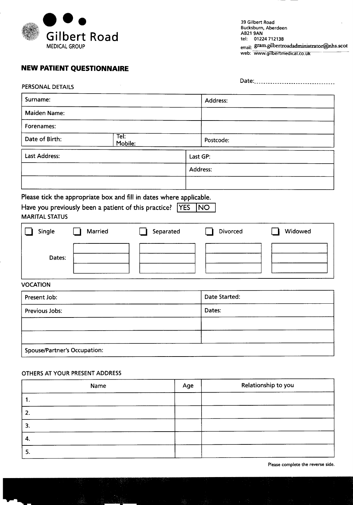

39 Gilbert Road Bucksburn, Aberdeen AB219AN tel: 01224712138 email: gram.gilbertroadadministrator@nhs.scot web: www.gilbertmedical.co.uk

## **NEW PATIENT QUESTIONNAIRE**

| PERSONAL DETAILS                          |                 |           |          |               | Date:   |
|-------------------------------------------|-----------------|-----------|----------|---------------|---------|
| Surname:                                  |                 |           |          | Address:      |         |
| Maiden Name:                              |                 |           |          |               |         |
| Forenames:                                |                 |           |          |               |         |
| Date of Birth:                            | Tel:<br>Mobile: |           |          | Postcode:     |         |
| <b>Last Address:</b>                      |                 |           | Last GP: |               |         |
|                                           |                 |           | Address: |               |         |
|                                           |                 |           |          |               |         |
| <b>MARITAL STATUS</b><br>Single<br>Dates: | Married         | Separated |          | Divorced      | Widowed |
| <b>VOCATION</b>                           |                 |           |          |               |         |
| Present Job:                              |                 |           |          | Date Started: |         |
| Previous Jobs:                            |                 |           |          | Dates:        |         |
|                                           |                 |           |          |               |         |

Spouse/Partner's Occupation:

## OTHERS AT YOUR PRESENT ADDRESS

| Name | Age | Relationship to you |
|------|-----|---------------------|
| ι.   |     |                     |
| 2.   |     |                     |
| 3.   |     |                     |
| 4.   |     |                     |
| 5.   |     |                     |

Please complete the reverse side.